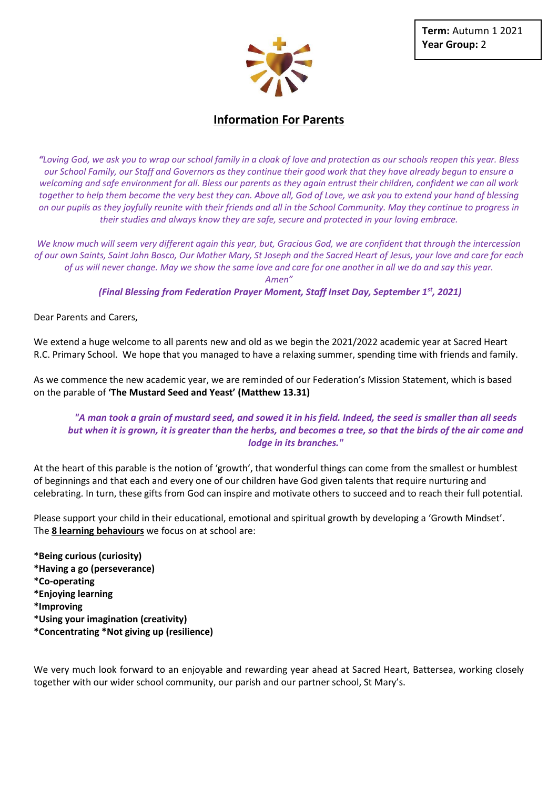

## **Information For Parents**

*"Loving God, we ask you to wrap our school family in a cloak of love and protection as our schools reopen this year. Bless our School Family, our Staff and Governors as they continue their good work that they have already begun to ensure a welcoming and safe environment for all. Bless our parents as they again entrust their children, confident we can all work together to help them become the very best they can. Above all, God of Love, we ask you to extend your hand of blessing on our pupils as they joyfully reunite with their friends and all in the School Community. May they continue to progress in their studies and always know they are safe, secure and protected in your loving embrace.*

*We know much will seem very different again this year, but, Gracious God, we are confident that through the intercession of our own Saints, Saint John Bosco, Our Mother Mary, St Joseph and the Sacred Heart of Jesus, your love and care for each of us will never change. May we show the same love and care for one another in all we do and say this year.*

*Amen"*

*(Final Blessing from Federation Prayer Moment, Staff Inset Day, September 1st, 2021)*

Dear Parents and Carers,

We extend a huge welcome to all parents new and old as we begin the 2021/2022 academic year at Sacred Heart R.C. Primary School. We hope that you managed to have a relaxing summer, spending time with friends and family.

As we commence the new academic year, we are reminded of our Federation's Mission Statement, which is based on the parable of **'The Mustard Seed and Yeast' (Matthew 13.31)**

## *"A man took a grain of mustard seed, and sowed it in his field. Indeed, the seed is smaller than all seeds but when it is grown, it is greater than the herbs, and becomes a tree, so that the birds of the air come and lodge in its branches."*

At the heart of this parable is the notion of 'growth', that wonderful things can come from the smallest or humblest of beginnings and that each and every one of our children have God given talents that require nurturing and celebrating. In turn, these gifts from God can inspire and motivate others to succeed and to reach their full potential.

Please support your child in their educational, emotional and spiritual growth by developing a 'Growth Mindset'. The **8 learning behaviours** we focus on at school are:

**\*Being curious (curiosity) \*Having a go (perseverance) \*Co-operating \*Enjoying learning \*Improving \*Using your imagination (creativity) \*Concentrating \*Not giving up (resilience)**

We very much look forward to an enjoyable and rewarding year ahead at Sacred Heart, Battersea, working closely together with our wider school community, our parish and our partner school, St Mary's.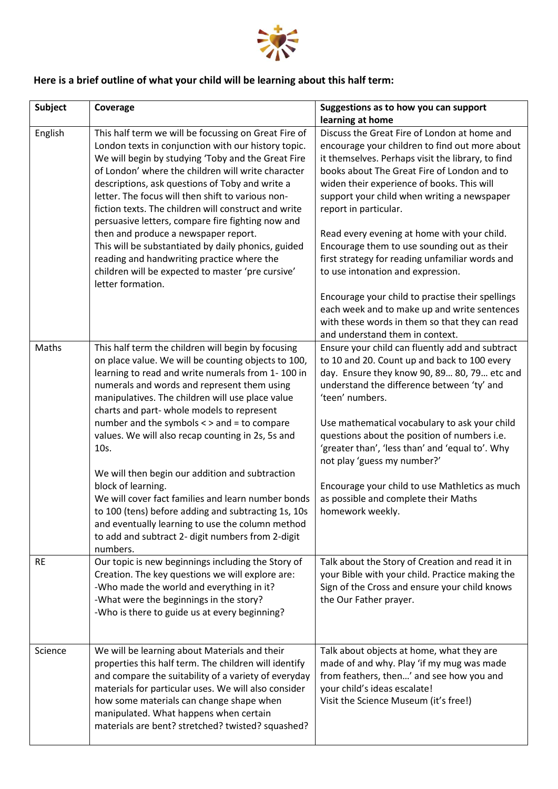

## **Here is a brief outline of what your child will be learning about this half term:**

| <b>Subject</b> | Coverage                                                                                                                                                                                                                                                                                                                                                                                                                                                                                                                                                                                                                                                                                                                               | Suggestions as to how you can support<br>learning at home                                                                                                                                                                                                                                                                                                                                                                                                                                                                                                                                                                                                                                               |
|----------------|----------------------------------------------------------------------------------------------------------------------------------------------------------------------------------------------------------------------------------------------------------------------------------------------------------------------------------------------------------------------------------------------------------------------------------------------------------------------------------------------------------------------------------------------------------------------------------------------------------------------------------------------------------------------------------------------------------------------------------------|---------------------------------------------------------------------------------------------------------------------------------------------------------------------------------------------------------------------------------------------------------------------------------------------------------------------------------------------------------------------------------------------------------------------------------------------------------------------------------------------------------------------------------------------------------------------------------------------------------------------------------------------------------------------------------------------------------|
| English        | This half term we will be focussing on Great Fire of<br>London texts in conjunction with our history topic.<br>We will begin by studying 'Toby and the Great Fire<br>of London' where the children will write character<br>descriptions, ask questions of Toby and write a<br>letter. The focus will then shift to various non-<br>fiction texts. The children will construct and write<br>persuasive letters, compare fire fighting now and<br>then and produce a newspaper report.<br>This will be substantiated by daily phonics, guided<br>reading and handwriting practice where the<br>children will be expected to master 'pre cursive'<br>letter formation.                                                                    | Discuss the Great Fire of London at home and<br>encourage your children to find out more about<br>it themselves. Perhaps visit the library, to find<br>books about The Great Fire of London and to<br>widen their experience of books. This will<br>support your child when writing a newspaper<br>report in particular.<br>Read every evening at home with your child.<br>Encourage them to use sounding out as their<br>first strategy for reading unfamiliar words and<br>to use intonation and expression.<br>Encourage your child to practise their spellings<br>each week and to make up and write sentences<br>with these words in them so that they can read<br>and understand them in context. |
| Maths          | This half term the children will begin by focusing<br>on place value. We will be counting objects to 100,<br>learning to read and write numerals from 1-100 in<br>numerals and words and represent them using<br>manipulatives. The children will use place value<br>charts and part- whole models to represent<br>number and the symbols < > and = to compare<br>values. We will also recap counting in 2s, 5s and<br>10s.<br>We will then begin our addition and subtraction<br>block of learning.<br>We will cover fact families and learn number bonds<br>to 100 (tens) before adding and subtracting 1s, 10s<br>and eventually learning to use the column method<br>to add and subtract 2- digit numbers from 2-digit<br>numbers. | Ensure your child can fluently add and subtract<br>to 10 and 20. Count up and back to 100 every<br>day. Ensure they know 90, 89 80, 79 etc and<br>understand the difference between 'ty' and<br>'teen' numbers.<br>Use mathematical vocabulary to ask your child<br>questions about the position of numbers i.e.<br>'greater than', 'less than' and 'equal to'. Why<br>not play 'guess my number?'<br>Encourage your child to use Mathletics as much<br>as possible and complete their Maths<br>homework weekly.                                                                                                                                                                                        |
| <b>RE</b>      | Our topic is new beginnings including the Story of<br>Creation. The key questions we will explore are:<br>-Who made the world and everything in it?<br>-What were the beginnings in the story?<br>-Who is there to guide us at every beginning?                                                                                                                                                                                                                                                                                                                                                                                                                                                                                        | Talk about the Story of Creation and read it in<br>your Bible with your child. Practice making the<br>Sign of the Cross and ensure your child knows<br>the Our Father prayer.                                                                                                                                                                                                                                                                                                                                                                                                                                                                                                                           |
| Science        | We will be learning about Materials and their<br>properties this half term. The children will identify<br>and compare the suitability of a variety of everyday<br>materials for particular uses. We will also consider<br>how some materials can change shape when<br>manipulated. What happens when certain<br>materials are bent? stretched? twisted? squashed?                                                                                                                                                                                                                                                                                                                                                                      | Talk about objects at home, what they are<br>made of and why. Play 'if my mug was made<br>from feathers, then' and see how you and<br>your child's ideas escalate!<br>Visit the Science Museum (it's free!)                                                                                                                                                                                                                                                                                                                                                                                                                                                                                             |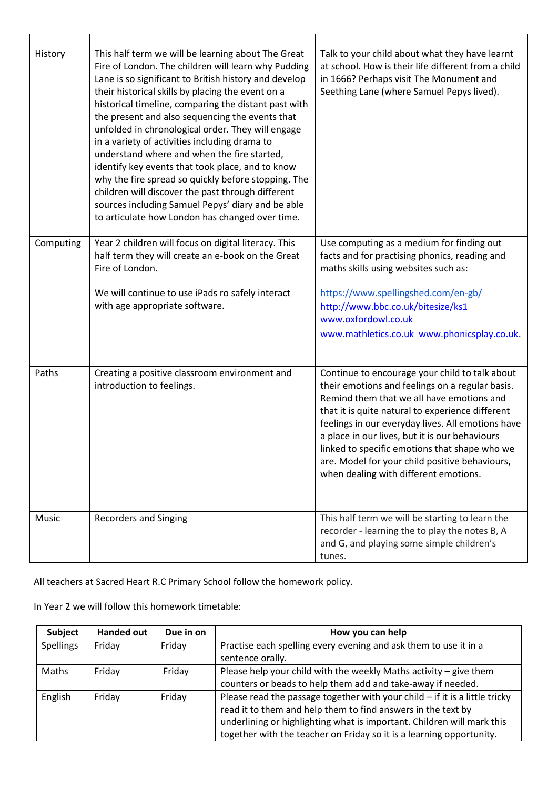| History   | This half term we will be learning about The Great<br>Fire of London. The children will learn why Pudding<br>Lane is so significant to British history and develop<br>their historical skills by placing the event on a<br>historical timeline, comparing the distant past with<br>the present and also sequencing the events that<br>unfolded in chronological order. They will engage<br>in a variety of activities including drama to<br>understand where and when the fire started,<br>identify key events that took place, and to know<br>why the fire spread so quickly before stopping. The<br>children will discover the past through different<br>sources including Samuel Pepys' diary and be able<br>to articulate how London has changed over time. | Talk to your child about what they have learnt<br>at school. How is their life different from a child<br>in 1666? Perhaps visit The Monument and<br>Seething Lane (where Samuel Pepys lived).                                                                                                                                                                                                                                                         |
|-----------|-----------------------------------------------------------------------------------------------------------------------------------------------------------------------------------------------------------------------------------------------------------------------------------------------------------------------------------------------------------------------------------------------------------------------------------------------------------------------------------------------------------------------------------------------------------------------------------------------------------------------------------------------------------------------------------------------------------------------------------------------------------------|-------------------------------------------------------------------------------------------------------------------------------------------------------------------------------------------------------------------------------------------------------------------------------------------------------------------------------------------------------------------------------------------------------------------------------------------------------|
| Computing | Year 2 children will focus on digital literacy. This<br>half term they will create an e-book on the Great<br>Fire of London.<br>We will continue to use iPads ro safely interact<br>with age appropriate software.                                                                                                                                                                                                                                                                                                                                                                                                                                                                                                                                              | Use computing as a medium for finding out<br>facts and for practising phonics, reading and<br>maths skills using websites such as:<br>https://www.spellingshed.com/en-gb/<br>http://www.bbc.co.uk/bitesize/ks1<br>www.oxfordowl.co.uk<br>www.mathletics.co.uk www.phonicsplay.co.uk.                                                                                                                                                                  |
| Paths     | Creating a positive classroom environment and<br>introduction to feelings.                                                                                                                                                                                                                                                                                                                                                                                                                                                                                                                                                                                                                                                                                      | Continue to encourage your child to talk about<br>their emotions and feelings on a regular basis.<br>Remind them that we all have emotions and<br>that it is quite natural to experience different<br>feelings in our everyday lives. All emotions have<br>a place in our lives, but it is our behaviours<br>linked to specific emotions that shape who we<br>are. Model for your child positive behaviours,<br>when dealing with different emotions. |
| Music     | <b>Recorders and Singing</b>                                                                                                                                                                                                                                                                                                                                                                                                                                                                                                                                                                                                                                                                                                                                    | This half term we will be starting to learn the<br>recorder - learning the to play the notes B, A<br>and G, and playing some simple children's<br>tunes.                                                                                                                                                                                                                                                                                              |

All teachers at Sacred Heart R.C Primary School follow the homework policy.

In Year 2 we will follow this homework timetable:

| <b>Subject</b>   | <b>Handed out</b> | Due in on | How you can help                                                              |
|------------------|-------------------|-----------|-------------------------------------------------------------------------------|
| <b>Spellings</b> | Friday            | Friday    | Practise each spelling every evening and ask them to use it in a              |
|                  |                   |           | sentence orally.                                                              |
| Maths            | Friday            | Friday    | Please help your child with the weekly Maths activity – give them             |
|                  |                   |           | counters or beads to help them add and take-away if needed.                   |
| English          | Friday            | Friday    | Please read the passage together with your child $-$ if it is a little tricky |
|                  |                   |           | read it to them and help them to find answers in the text by                  |
|                  |                   |           | underlining or highlighting what is important. Children will mark this        |
|                  |                   |           | together with the teacher on Friday so it is a learning opportunity.          |